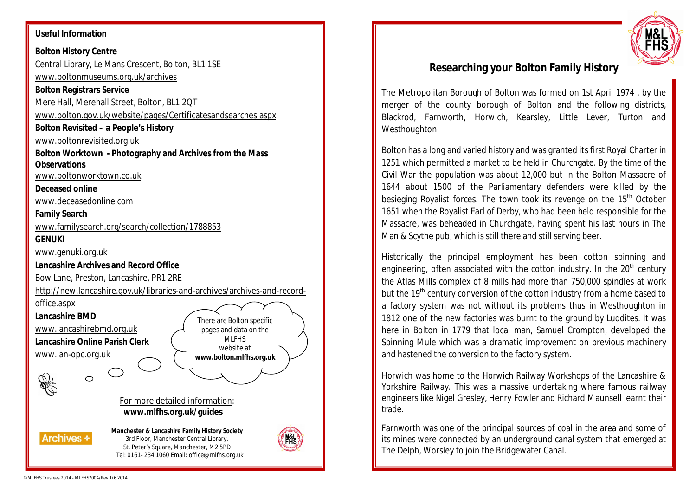#### **Useful Information**

### **Bolton History Centre** Central Library, Le Mans Crescent, Bolton, BL1 1SE www.boltonmuseums.org.uk/archives **Bolton Registrars Service** Mere Hall, Merehall Street, Bolton, BL1 2QT www.bolton.gov.uk/website/pages/Certificatesandsearches.aspx **Bolton Revisited – a People's History** www.boltonrevisited.org.uk **Bolton Worktown - Photography and Archives from the Mass Observations** www.boltonworktown.co.uk **Deceased online**  www.deceasedonline.com **Family Search** www.familysearch.org/search/collection/1788853 **GENUKI** www.genuki.org.uk **Lancashire Archives and Record Office** Bow Lane, Preston, Lancashire, PR1 2RE http://new.lancashire.gov.uk/libraries-and-archives/archives-and-recordoffice.aspx **Lancashire BMD** There are Bolton specific www.lancashirebmd.org.uk pages and data on the MLFHS **Lancashire Online Parish Clerk** website at www.lan-opc.org.uk **www.bolton.mlfhs.org.uk** S. For more detailed information: **www.mlfhs.org.uk/guides Manchester & Lancashire Family History Society Archives +** 3rd Floor, Manchester Central Library, St. Peter's Square, Manchester, M2 5PD Tel: 0161- 234 1060 Email: office@mlfhs.org.uk



# **Researching your Bolton Family History**

The Metropolitan Borough of Bolton was formed on 1st April 1974 , by the merger of the county borough of Bolton and the following districts, Blackrod, Farnworth, Horwich, Kearsley, Little Lever, Turton and Westhoughton.

Bolton has a long and varied history and was granted its first Royal Charter in 1251 which permitted a market to be held in Churchgate. By the time of the Civil War the population was about 12,000 but in the Bolton Massacre of 1644 about 1500 of the Parliamentary defenders were killed by the besieging Royalist forces. The town took its revenge on the 15<sup>th</sup> October 1651 when the Royalist Earl of Derby, who had been held responsible for the Massacre, was beheaded in Churchgate, having spent his last hours in The Man & Scythe pub, which is still there and still serving beer.

Historically the principal employment has been cotton spinning and engineering, often associated with the cotton industry. In the  $20<sup>th</sup>$  century the Atlas Mills complex of 8 mills had more than 750,000 spindles at work but the 19<sup>th</sup> century conversion of the cotton industry from a home based to a factory system was not without its problems thus in Westhoughton in 1812 one of the new factories was burnt to the ground by Luddites. It was here in Bolton in 1779 that local man, Samuel Crompton, developed the Spinning Mule which was a dramatic improvement on previous machinery and hastened the conversion to the factory system.

Horwich was home to the Horwich Railway Workshops of the Lancashire & Yorkshire Railway. This was a massive undertaking where famous railway engineers like Nigel Gresley, Henry Fowler and Richard Maunsell learnt their trade.

Farnworth was one of the principal sources of coal in the area and some of its mines were connected by an underground canal system that emerged at The Delph, Worsley to join the Bridgewater Canal.